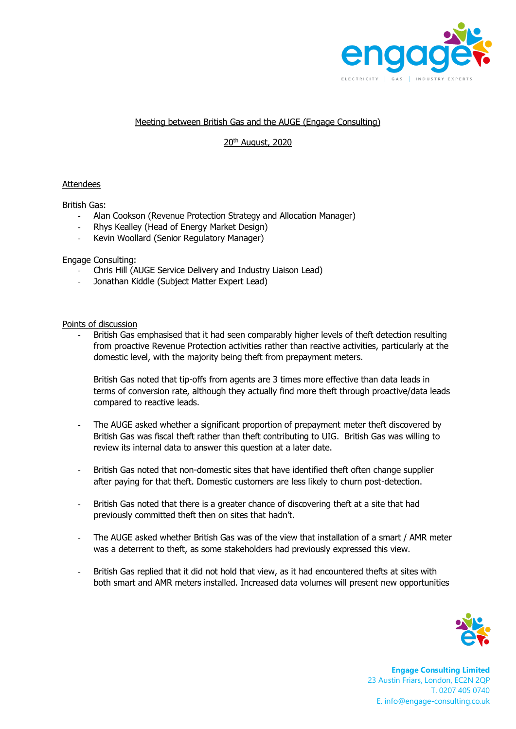

## Meeting between British Gas and the AUGE (Engage Consulting)

# 20th August, 2020

### Attendees

British Gas:

- Alan Cookson (Revenue Protection Strategy and Allocation Manager)
- Rhys Kealley (Head of Energy Market Design)
- Kevin Woollard (Senior Regulatory Manager)

### Engage Consulting:

- Chris Hill (AUGE Service Delivery and Industry Liaison Lead)
- Jonathan Kiddle (Subject Matter Expert Lead)

### Points of discussion

British Gas emphasised that it had seen comparably higher levels of theft detection resulting from proactive Revenue Protection activities rather than reactive activities, particularly at the domestic level, with the majority being theft from prepayment meters.

British Gas noted that tip-offs from agents are 3 times more effective than data leads in terms of conversion rate, although they actually find more theft through proactive/data leads compared to reactive leads.

- The AUGE asked whether a significant proportion of prepayment meter theft discovered by British Gas was fiscal theft rather than theft contributing to UIG. British Gas was willing to review its internal data to answer this question at a later date.
- British Gas noted that non-domestic sites that have identified theft often change supplier after paying for that theft. Domestic customers are less likely to churn post-detection.
- British Gas noted that there is a greater chance of discovering theft at a site that had previously committed theft then on sites that hadn't.
- The AUGE asked whether British Gas was of the view that installation of a smart / AMR meter was a deterrent to theft, as some stakeholders had previously expressed this view.
- British Gas replied that it did not hold that view, as it had encountered thefts at sites with both smart and AMR meters installed. Increased data volumes will present new opportunities



**Engage Consulting Limited** 23 Austin Friars, London, EC2N 2QP T. 0207 405 0740 E. info@engage-consulting.co.uk